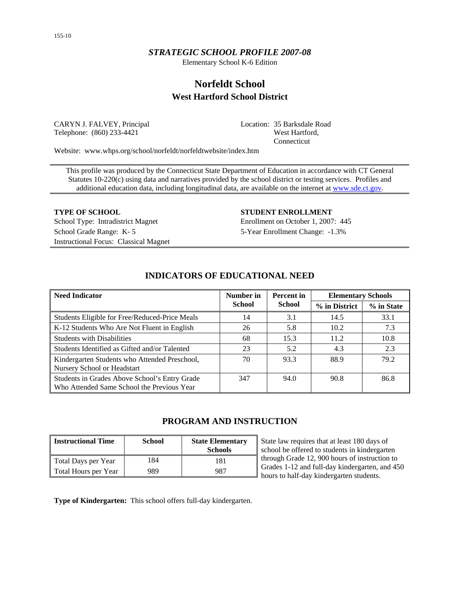## *STRATEGIC SCHOOL PROFILE 2007-08*

Elementary School K-6 Edition

# **Norfeldt School West Hartford School District**

CARYN J. FALVEY, Principal Telephone: (860) 233-4421

Location: 35 Barksdale Road West Hartford, Connecticut

Website: www.whps.org/school/norfeldt/norfeldtwebsite/index.htm

This profile was produced by the Connecticut State Department of Education in accordance with CT General Statutes 10-220(c) using data and narratives provided by the school district or testing services. Profiles and additional education data, including longitudinal data, are available on the internet at [www.sde.ct.gov.](http://www.sde.ct.gov/)

School Type: Intradistrict Magnet Enrollment on October 1, 2007: 445 School Grade Range: K- 5 5-Year Enrollment Change: -1.3% Instructional Focus: Classical Magnet

#### **TYPE OF SCHOOL STUDENT ENROLLMENT**

| <b>Need Indicator</b>                                                                       | Number in     | <b>Percent</b> in | <b>Elementary Schools</b> |            |
|---------------------------------------------------------------------------------------------|---------------|-------------------|---------------------------|------------|
|                                                                                             | <b>School</b> | <b>School</b>     |                           | % in State |
| Students Eligible for Free/Reduced-Price Meals                                              | 14            | 3.1               | 14.5                      | 33.1       |
| K-12 Students Who Are Not Fluent in English                                                 | 26            | 5.8               | 10.2                      | 7.3        |
| <b>Students with Disabilities</b>                                                           | 68            | 15.3              | 11.2                      | 10.8       |
| Students Identified as Gifted and/or Talented                                               | 23            | 5.2               | 4.3                       | 2.3        |
| Kindergarten Students who Attended Preschool,<br>Nursery School or Headstart                | 70            | 93.3              | 88.9                      | 79.2       |
| Students in Grades Above School's Entry Grade<br>Who Attended Same School the Previous Year | 347           | 94.0              | 90.8                      | 86.8       |

## **INDICATORS OF EDUCATIONAL NEED**

## **PROGRAM AND INSTRUCTION**

| <b>Instructional Time</b> | <b>School</b> | <b>State Elementary</b><br><b>Schools</b> |
|---------------------------|---------------|-------------------------------------------|
| Total Days per Year       | 184           | 181                                       |
| Total Hours per Year      | 989           | 987                                       |

State law requires that at least 180 days of school be offered to students in kindergarten through Grade 12, 900 hours of instruction to Grades 1-12 and full-day kindergarten, and 450 hours to half-day kindergarten students.

**Type of Kindergarten:** This school offers full-day kindergarten.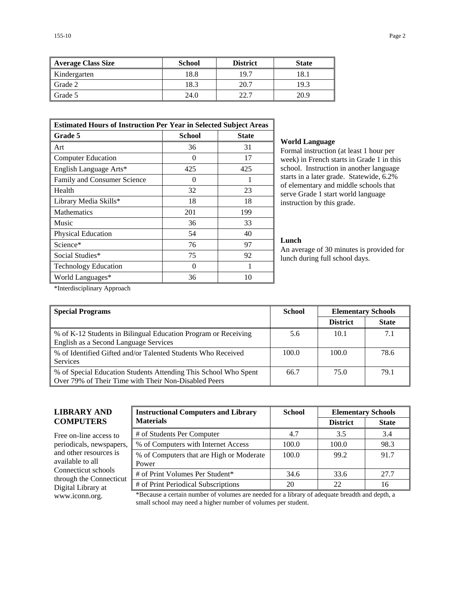| <b>Average Class Size</b> | <b>School</b> | <b>District</b> | <b>State</b> |
|---------------------------|---------------|-----------------|--------------|
| Kindergarten              | 18.8          | 19.7            | 18.1         |
| Grade 2                   | 18.3          | 20.7            | 19.3         |
| Grade 5                   | 24.0          | 22.7            | 20.9         |

| <b>Estimated Hours of Instruction Per Year in Selected Subject Areas</b> |     |     |  |  |  |  |
|--------------------------------------------------------------------------|-----|-----|--|--|--|--|
| <b>Grade 5</b><br><b>School</b><br><b>State</b>                          |     |     |  |  |  |  |
| Art                                                                      | 36  | 31  |  |  |  |  |
| <b>Computer Education</b>                                                | 0   | 17  |  |  |  |  |
| English Language Arts*                                                   | 425 | 425 |  |  |  |  |
| Family and Consumer Science                                              | 0   |     |  |  |  |  |
| Health                                                                   | 32  | 23  |  |  |  |  |
| Library Media Skills*                                                    | 18  | 18  |  |  |  |  |
| Mathematics                                                              | 201 | 199 |  |  |  |  |
| Music                                                                    | 36  | 33  |  |  |  |  |
| Physical Education                                                       | 54  | 40  |  |  |  |  |
| Science*                                                                 | 76  | 97  |  |  |  |  |
| Social Studies*                                                          | 75  | 92  |  |  |  |  |
| <b>Technology Education</b>                                              | 0   | 1   |  |  |  |  |
| World Languages*                                                         | 36  | 10  |  |  |  |  |

#### **World Language**

Formal instruction (at least 1 hour per week) in French starts in Grade 1 in this school. Instruction in another language starts in a later grade. Statewide, 6.2% of elementary and middle schools that serve Grade 1 start world language instruction by this grade.

### **Lunch**

An average of 30 minutes is provided for lunch during full school days.

\*Interdisciplinary Approach

| <b>Special Programs</b>                                                                                                 | <b>School</b> | <b>Elementary Schools</b> |              |
|-------------------------------------------------------------------------------------------------------------------------|---------------|---------------------------|--------------|
|                                                                                                                         |               | <b>District</b>           | <b>State</b> |
| % of K-12 Students in Bilingual Education Program or Receiving<br>English as a Second Language Services                 | 5.6           | 10.1                      | 7.1          |
| % of Identified Gifted and/or Talented Students Who Received<br><b>Services</b>                                         | 100.0         | 100.0                     | 78.6         |
| % of Special Education Students Attending This School Who Spent<br>Over 79% of Their Time with Their Non-Disabled Peers | 66.7          | 75.0                      | 79.1         |

## **LIBRARY AND COMPUTERS**

Free on-line access to periodicals, newspapers, and other resources is available to all Connecticut schools through the Connecticut Digital Library at

| <b>Instructional Computers and Library</b>        | <b>School</b> | <b>Elementary Schools</b> |              |  |
|---------------------------------------------------|---------------|---------------------------|--------------|--|
| <b>Materials</b>                                  |               | <b>District</b>           | <b>State</b> |  |
| # of Students Per Computer                        | 4.7           | 3.5                       | 3.4          |  |
| % of Computers with Internet Access               | 100.0         | 100.0                     | 98.3         |  |
| % of Computers that are High or Moderate<br>Power | 100.0         | 99.2                      | 91.7         |  |
| # of Print Volumes Per Student*                   | 34.6          | 33.6                      | 27.7         |  |
| # of Print Periodical Subscriptions               | 20            | 22                        | 16           |  |

www.iconn.org. \*Because a certain number of volumes are needed for a library of adequate breadth and depth, a small school may need a higher number of volumes per student.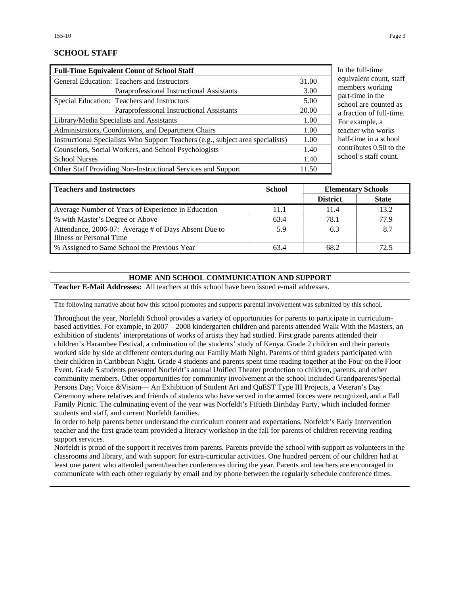## **SCHOOL STAFF**

| <b>Full-Time Equivalent Count of School Staff</b>                               |       |
|---------------------------------------------------------------------------------|-------|
| General Education: Teachers and Instructors                                     | 31.00 |
| Paraprofessional Instructional Assistants                                       | 3.00  |
| Special Education: Teachers and Instructors                                     | 5.00  |
| Paraprofessional Instructional Assistants                                       | 20.00 |
| Library/Media Specialists and Assistants                                        | 1.00  |
| Administrators, Coordinators, and Department Chairs                             | 1.00  |
| Instructional Specialists Who Support Teachers (e.g., subject area specialists) | 1.00  |
| Counselors, Social Workers, and School Psychologists                            | 1.40  |
| <b>School Nurses</b>                                                            | 1.40  |
| Other Staff Providing Non-Instructional Services and Support                    | 11.50 |

the full-time uivalent count, staff members working rt-time in the hool are counted as raction of full-time. r example, a cher who works lf-time in a school ntributes  $0.50$  to the hool's staff count.

| <b>Teachers and Instructors</b>                      | <b>School</b> |                 | <b>Elementary Schools</b> |
|------------------------------------------------------|---------------|-----------------|---------------------------|
|                                                      |               | <b>District</b> | <b>State</b>              |
| Average Number of Years of Experience in Education   | 11.1          | 11.4            | 13.2                      |
| % with Master's Degree or Above                      | 63.4          | 78.1            | 77.9                      |
| Attendance, 2006-07: Average # of Days Absent Due to | 5.9           | 6.3             | 8.7                       |
| Illness or Personal Time                             |               |                 |                           |
| % Assigned to Same School the Previous Year          | 63.4          | 68.2            | 72.5                      |

#### **HOME AND SCHOOL COMMUNICATION AND SUPPORT**

**Teacher E-Mail Addresses:** All teachers at this school have been issued e-mail addresses.

The following narrative about how this school promotes and supports parental involvement was submitted by this school.

Throughout the year, Norfeldt School provides a variety of opportunities for parents to participate in curriculumbased activities. For example, in 2007 – 2008 kindergarten children and parents attended Walk With the Masters, an exhibition of students' interpretations of works of artists they had studied. First grade parents attended their children's Harambee Festival, a culmination of the students' study of Kenya. Grade 2 children and their parents worked side by side at different centers during our Family Math Night. Parents of third graders participated with their children in Caribbean Night. Grade 4 students and parents spent time reading together at the Four on the Floor Event. Grade 5 students presented Norfeldt's annual Unified Theater production to children, parents, and other community members. Other opportunities for community involvement at the school included Grandparents/Special Persons Day; Voice &Vision— An Exhibition of Student Art and QuEST Type III Projects, a Veteran's Day Ceremony where relatives and friends of students who have served in the armed forces were recognized, and a Fall Family Picnic. The culminating event of the year was Norfeldt's Fiftieth Birthday Party, which included former students and staff, and current Norfeldt families.

In order to help parents better understand the curriculum content and expectations, Norfeldt's Early Intervention teacher and the first grade team provided a literacy workshop in the fall for parents of children receiving reading support services.

Norfeldt is proud of the support it receives from parents. Parents provide the school with support as volunteers in the classrooms and library, and with support for extra-curricular activities. One hundred percent of our children had at least one parent who attended parent/teacher conferences during the year. Parents and teachers are encouraged to communicate with each other regularly by email and by phone between the regularly schedule conference times.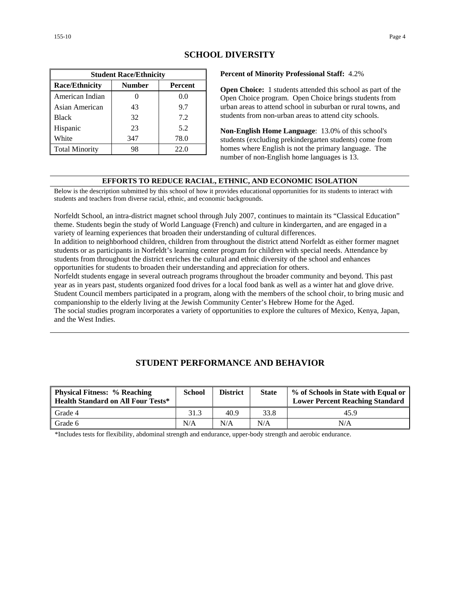| <b>Student Race/Ethnicity</b>              |     |      |  |  |  |  |
|--------------------------------------------|-----|------|--|--|--|--|
| <b>Race/Ethnicity</b><br>Number<br>Percent |     |      |  |  |  |  |
| American Indian                            |     | 0.0  |  |  |  |  |
| Asian American                             | 43  | 9.7  |  |  |  |  |
| <b>Black</b>                               | 32  | 7.2  |  |  |  |  |
| Hispanic                                   | 23  | 5.2  |  |  |  |  |
| White                                      | 347 | 78.0 |  |  |  |  |
| <b>Total Minority</b>                      | 98  | 22.0 |  |  |  |  |

## **SCHOOL DIVERSITY**

#### **Percent of Minority Professional Staff:** 4.2%

**Open Choice:** 1 students attended this school as part of the Open Choice program. Open Choice brings students from urban areas to attend school in suburban or rural towns, and students from non-urban areas to attend city schools.

**Non-English Home Language**: 13.0% of this school's students (excluding prekindergarten students) come from homes where English is not the primary language. The number of non-English home languages is 13.

#### **EFFORTS TO REDUCE RACIAL, ETHNIC, AND ECONOMIC ISOLATION**

Below is the description submitted by this school of how it provides educational opportunities for its students to interact with students and teachers from diverse racial, ethnic, and economic backgrounds.

Norfeldt School, an intra-district magnet school through July 2007, continues to maintain its "Classical Education" theme. Students begin the study of World Language (French) and culture in kindergarten, and are engaged in a variety of learning experiences that broaden their understanding of cultural differences.

In addition to neighborhood children, children from throughout the district attend Norfeldt as either former magnet students or as participants in Norfeldt's learning center program for children with special needs. Attendance by students from throughout the district enriches the cultural and ethnic diversity of the school and enhances opportunities for students to broaden their understanding and appreciation for others.

Norfeldt students engage in several outreach programs throughout the broader community and beyond. This past year as in years past, students organized food drives for a local food bank as well as a winter hat and glove drive. Student Council members participated in a program, along with the members of the school choir, to bring music and companionship to the elderly living at the Jewish Community Center's Hebrew Home for the Aged. The social studies program incorporates a variety of opportunities to explore the cultures of Mexico, Kenya, Japan, and the West Indies.

## **STUDENT PERFORMANCE AND BEHAVIOR**

| <b>Physical Fitness: % Reaching</b><br><b>Health Standard on All Four Tests*</b> | School | <b>District</b> | <b>State</b> | % of Schools in State with Equal or<br><b>Lower Percent Reaching Standard</b> |
|----------------------------------------------------------------------------------|--------|-----------------|--------------|-------------------------------------------------------------------------------|
| Grade 4                                                                          | 31.3   | 40.9            | 33.8         | 45.9                                                                          |
| Grade 6                                                                          | N/A    | N/A             | N/A          | N/A                                                                           |

\*Includes tests for flexibility, abdominal strength and endurance, upper-body strength and aerobic endurance.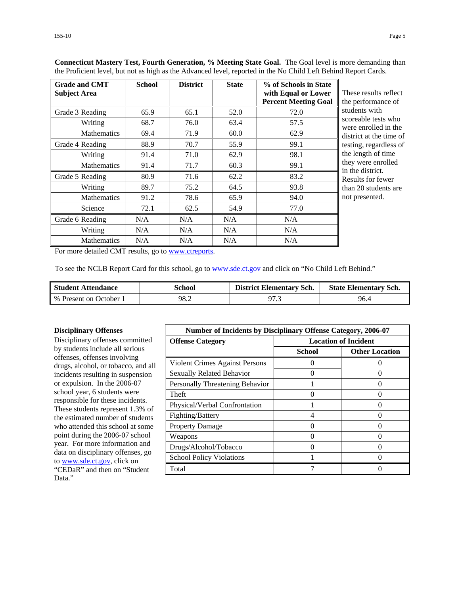| <b>Grade and CMT</b><br><b>Subject Area</b> | <b>School</b> | <b>District</b> | <b>State</b> | % of Schools in State<br>with Equal or Lower<br><b>Percent Meeting Goal</b> | These results reflect<br>the performance of |
|---------------------------------------------|---------------|-----------------|--------------|-----------------------------------------------------------------------------|---------------------------------------------|
| Grade 3 Reading                             | 65.9          | 65.1            | 52.0         | 72.0                                                                        | students with                               |
| Writing                                     | 68.7          | 76.0            | 63.4         | 57.5                                                                        | scoreable tests who<br>were enrolled in the |
| <b>Mathematics</b>                          | 69.4          | 71.9            | 60.0         | 62.9                                                                        | district at the time of                     |
| Grade 4 Reading                             | 88.9          | 70.7            | 55.9         | 99.1                                                                        | testing, regardless of                      |
| Writing                                     | 91.4          | 71.0            | 62.9         | 98.1                                                                        | the length of time                          |
| <b>Mathematics</b>                          | 91.4          | 71.7            | 60.3         | 99.1                                                                        | they were enrolled<br>in the district.      |
| Grade 5 Reading                             | 80.9          | 71.6            | 62.2         | 83.2                                                                        | Results for fewer                           |
| Writing                                     | 89.7          | 75.2            | 64.5         | 93.8                                                                        | than 20 students are                        |
| <b>Mathematics</b>                          | 91.2          | 78.6            | 65.9         | 94.0                                                                        | not presented.                              |
| Science                                     | 72.1          | 62.5            | 54.9         | 77.0                                                                        |                                             |
| Grade 6 Reading                             | N/A           | N/A             | N/A          | N/A                                                                         |                                             |
| Writing                                     | N/A           | N/A             | N/A          | N/A                                                                         |                                             |
| <b>Mathematics</b>                          | N/A           | N/A             | N/A          | N/A                                                                         |                                             |

**Connecticut Mastery Test, Fourth Generation, % Meeting State Goal.** The Goal level is more demanding than the Proficient level, but not as high as the Advanced level, reported in the No Child Left Behind Report Cards.

For more detailed CMT results, go to [www.ctreports.](http://www.ctreports/)

To see the NCLB Report Card for this school, go to [www.sde.ct.gov](http://www.sde.ct.gov/) and click on "No Child Left Behind."

| <b>Student Attendance</b> | School | <b>District Elementary Sch.</b> | <b>State Elementary Sch.</b> |
|---------------------------|--------|---------------------------------|------------------------------|
| % Present on October 1    | 98.2   |                                 | 96.4                         |

#### **Disciplinary Offenses**

Disciplinary offenses committed by students include all serious offenses, offenses involving drugs, alcohol, or tobacco, and all incidents resulting in suspension or expulsion. In the 2006-07 school year, 6 students were responsible for these incidents. These students represent 1.3% of the estimated number of students who attended this school at some point during the 2006-07 school year. For more information and data on disciplinary offenses, go to [www.sde.ct.gov](http://www.sde.ct.gov/), click on "CEDaR" and then on "Student Data."

| <b>Number of Incidents by Disciplinary Offense Category, 2006-07</b> |                             |                       |
|----------------------------------------------------------------------|-----------------------------|-----------------------|
| <b>Offense Category</b>                                              | <b>Location of Incident</b> |                       |
|                                                                      | <b>School</b>               | <b>Other Location</b> |
| Violent Crimes Against Persons                                       | 0                           |                       |
| <b>Sexually Related Behavior</b>                                     |                             |                       |
| Personally Threatening Behavior                                      |                             |                       |
| Theft                                                                | $\left($                    |                       |
| Physical/Verbal Confrontation                                        |                             |                       |
| Fighting/Battery                                                     | 4                           |                       |
| <b>Property Damage</b>                                               | $\mathbf{r}$                | 0                     |
| Weapons                                                              |                             |                       |
| Drugs/Alcohol/Tobacco                                                | 0                           |                       |
| <b>School Policy Violations</b>                                      |                             |                       |
| Total                                                                | 7                           |                       |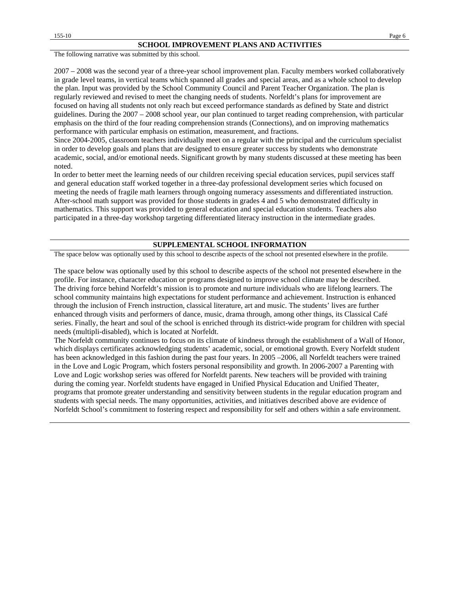The following narrative was submitted by this school.

2007 – 2008 was the second year of a three-year school improvement plan. Faculty members worked collaboratively in grade level teams, in vertical teams which spanned all grades and special areas, and as a whole school to develop the plan. Input was provided by the School Community Council and Parent Teacher Organization. The plan is regularly reviewed and revised to meet the changing needs of students. Norfeldt's plans for improvement are focused on having all students not only reach but exceed performance standards as defined by State and district guidelines. During the 2007 – 2008 school year, our plan continued to target reading comprehension, with particular emphasis on the third of the four reading comprehension strands (Connections), and on improving mathematics performance with particular emphasis on estimation, measurement, and fractions.

Since 2004-2005, classroom teachers individually meet on a regular with the principal and the curriculum specialist in order to develop goals and plans that are designed to ensure greater success by students who demonstrate academic, social, and/or emotional needs. Significant growth by many students discussed at these meeting has been noted.

In order to better meet the learning needs of our children receiving special education services, pupil services staff and general education staff worked together in a three-day professional development series which focused on meeting the needs of fragile math learners through ongoing numeracy assessments and differentiated instruction. After-school math support was provided for those students in grades 4 and 5 who demonstrated difficulty in mathematics. This support was provided to general education and special education students. Teachers also participated in a three-day workshop targeting differentiated literacy instruction in the intermediate grades.

#### **SUPPLEMENTAL SCHOOL INFORMATION**

The space below was optionally used by this school to describe aspects of the school not presented elsewhere in the profile.

The space below was optionally used by this school to describe aspects of the school not presented elsewhere in the profile. For instance, character education or programs designed to improve school climate may be described. The driving force behind Norfeldt's mission is to promote and nurture individuals who are lifelong learners. The school community maintains high expectations for student performance and achievement. Instruction is enhanced through the inclusion of French instruction, classical literature, art and music. The students' lives are further enhanced through visits and performers of dance, music, drama through, among other things, its Classical Café series. Finally, the heart and soul of the school is enriched through its district-wide program for children with special needs (multipli-disabled), which is located at Norfeldt.

The Norfeldt community continues to focus on its climate of kindness through the establishment of a Wall of Honor, which displays certificates acknowledging students' academic, social, or emotional growth. Every Norfeldt student has been acknowledged in this fashion during the past four years. In 2005 –2006, all Norfeldt teachers were trained in the Love and Logic Program, which fosters personal responsibility and growth. In 2006-2007 a Parenting with Love and Logic workshop series was offered for Norfeldt parents. New teachers will be provided with training during the coming year. Norfeldt students have engaged in Unified Physical Education and Unified Theater, programs that promote greater understanding and sensitivity between students in the regular education program and students with special needs. The many opportunities, activities, and initiatives described above are evidence of Norfeldt School's commitment to fostering respect and responsibility for self and others within a safe environment.